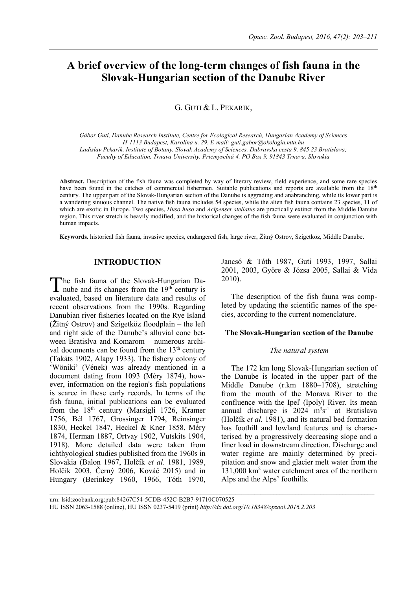# **A brief overview of the long-term changes of fish fauna in the Slovak-Hungarian section of the Danube River**

# G. GUTI & L. PEKARIK,

*Gábor Guti, Danube Research Institute, Centre for Ecological Research, Hungarian Academy of Sciences H-1113 Budapest, Karolina u. 29. E-mail: guti.gabor@okologia.mta.hu Ladislav Pekarik, Institute of Botany, Slovak Academy of Sciences, Dubravska cesta 9, 845 23 Bratislava; Faculty of Education, Trnava University, Priemyselná 4, PO Box 9, 91843 Trnava, Slovakia*

**Abstract.** Description of the fish fauna was completed by way of literary review, field experience, and some rare species have been found in the catches of commercial fishermen. Suitable publications and reports are available from the 18<sup>th</sup> century. The upper part of the Slovak-Hungarian section of the Danube is aggrading and anabranching, while its lower part is a wandering sinuous channel. The native fish fauna includes 54 species, while the alien fish fauna contains 23 species, 11 of which are exotic in Europe. Two species, *Huso huso* and *Acipenser stellatus* are practically extinct from the Middle Danube region. This river stretch is heavily modified, and the historical changes of the fish fauna were evaluated in conjunction with human impacts.

**Keywords.** historical fish fauna, invasive species, endangered fish, large river, Žitný Ostrov, Szigetköz, Middle Danube.

## **INTRODUCTION**

he fish fauna of the Slovak-Hungarian Danube and its changes from the 19th century is evaluated, based on literature data and results of recent observations from the 1990s. Regarding Danubian river fisheries located on the Rye Island (Žitný Ostrov) and Szigetköz floodplain – the left and right side of the Danube's alluvial cone between Bratislva and Komarom – numerous archival documents can be found from the 13<sup>th</sup> century (Takáts 1902, Alapy 1933). The fishery colony of 'Wöniki' (Vének) was already mentioned in a document dating from 1093 (Méry 1874), however, information on the region's fish populations is scarce in these early records. In terms of the fish fauna, initial publications can be evaluated from the 18<sup>th</sup> century (Marsigli 1726, Kramer 1756, Bél 1767, Grossinger 1794, Reinsinger 1830, Heckel 1847, Heckel & Kner 1858, Méry 1874, Herman 1887, Ortvay 1902, Vutskits 1904, 1918). More detailed data were taken from ichthyological studies published from the 1960s in Slovakia (Balon 1967, Holčík *et al*. 1981, 1989, Holčík 2003, Černý 2006, Kováč 2015) and in Hungary (Berinkey 1960, 1966, Tóth 1970, T

Jancsó & Tóth 1987, Guti 1993, 1997, Sallai 2001, 2003, Györe & Józsa 2005, Sallai & Vida 2010).

The description of the fish fauna was completed by updating the scientific names of the species, according to the current nomenclature.

### **The Slovak-Hungarian section of the Danube**

#### *The natural system*

The 172 km long Slovak-Hungarian section of the Danube is located in the upper part of the Middle Danube (r.km 1880–1708), stretching from the mouth of the Morava River to the confluence with the Ipeľ (Ipoly) River. Its mean annual discharge is  $2024 \text{ m}^3\text{s}^{-1}$  at Bratislava (Holčík *et al.* 1981), and its natural bed formation has foothill and lowland features and is characterised by a progressively decreasing slope and a finer load in downstream direction. Discharge and water regime are mainly determined by precipitation and snow and glacier melt water from the 131,000 km<sup>2</sup> water catchment area of the northern Alps and the Alps' foothills.

 $\_$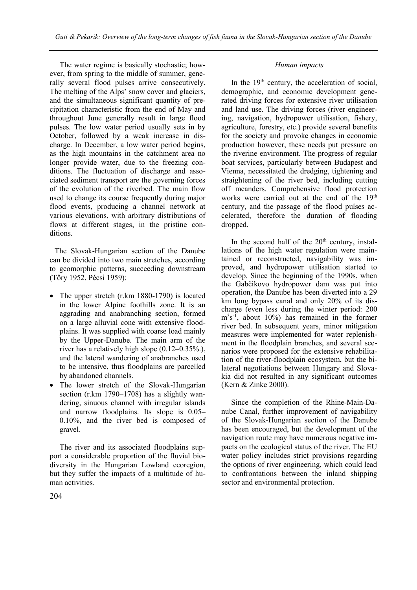The water regime is basically stochastic; however, from spring to the middle of summer, generally several flood pulses arrive consecutively. The melting of the Alps' snow cover and glaciers, and the simultaneous significant quantity of precipitation characteristic from the end of May and throughout June generally result in large flood pulses. The low water period usually sets in by October, followed by a weak increase in discharge. In December, a low water period begins, as the high mountains in the catchment area no longer provide water, due to the freezing conditions. The fluctuation of discharge and associated sediment transport are the governing forces of the evolution of the riverbed. The main flow used to change its course frequently during major flood events, producing a channel network at various elevations, with arbitrary distributions of flows at different stages, in the pristine conditions.

The Slovak-Hungarian section of the Danube can be divided into two main stretches, according to geomorphic patterns, succeeding downstream (Tőry 1952, Pécsi 1959):

- The upper stretch (r.km 1880-1790) is located in the lower Alpine foothills zone. It is an aggrading and anabranching section, formed on a large alluvial cone with extensive floodplains. It was supplied with coarse load mainly by the Upper-Danube. The main arm of the river has a relatively high slope (0.12–0.35%.), and the lateral wandering of anabranches used to be intensive, thus floodplains are parcelled by abandoned channels.
- The lower stretch of the Slovak-Hungarian section (r.km 1790–1708) has a slightly wandering, sinuous channel with irregular islands and narrow floodplains. Its slope is 0.05– 0.10%, and the river bed is composed of gravel.

The river and its associated floodplains support a considerable proportion of the fluvial biodiversity in the Hungarian Lowland ecoregion, but they suffer the impacts of a multitude of human activities.

# *Human impacts*

In the  $19<sup>th</sup>$  century, the acceleration of social, demographic, and economic development generated driving forces for extensive river utilisation and land use. The driving forces (river engineering, navigation, hydropower utilisation, fishery, agriculture, forestry, etc.) provide several benefits for the society and provoke changes in economic production however, these needs put pressure on the riverine environment. The progress of regular boat services, particularly between Budapest and Vienna, necessitated the dredging, tightening and straightening of the river bed, including cutting off meanders. Comprehensive flood protection works were carried out at the end of the  $19<sup>th</sup>$ century, and the passage of the flood pulses accelerated, therefore the duration of flooding dropped.

In the second half of the  $20<sup>th</sup>$  century, installations of the high water regulation were maintained or reconstructed, navigability was improved, and hydropower utilisation started to develop. Since the beginning of the 1990s, when the Gabčikovo hydropower dam was put into operation, the Danube has been diverted into a 29 km long bypass canal and only 20% of its discharge (even less during the winter period: 200  $\rm m<sup>3</sup>s<sup>-1</sup>$ , about 10%) has remained in the former river bed. In subsequent years, minor mitigation measures were implemented for water replenishment in the floodplain branches, and several scenarios were proposed for the extensive rehabilitation of the river-floodplain ecosystem, but the bilateral negotiations between Hungary and Slovakia did not resulted in any significant outcomes (Kern & Zinke 2000).

Since the completion of the Rhine-Main-Danube Canal, further improvement of navigability of the Slovak-Hungarian section of the Danube has been encouraged, but the development of the navigation route may have numerous negative impacts on the ecological status of the river. The EU water policy includes strict provisions regarding the options of river engineering, which could lead to confrontations between the inland shipping sector and environmental protection.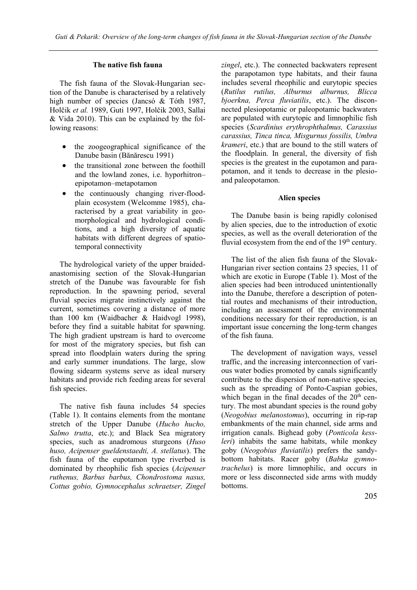# **The native fish fauna**

The fish fauna of the Slovak-Hungarian section of the Danube is characterised by a relatively high number of species (Jancsó & Tóth 1987, Holčik *et al.* 1989, Guti 1997, Holčik 2003, Sallai & Vida 2010). This can be explained by the following reasons:

- the zoogeographical significance of the Danube basin (Bănărescu 1991)
- the transitional zone between the foothill and the lowland zones, i.e. hyporhitron– epipotamon–metapotamon
- the continuously changing river-floodplain ecosystem (Welcomme 1985), characterised by a great variability in geomorphological and hydrological conditions, and a high diversity of aquatic habitats with different degrees of spatiotemporal connectivity

The hydrological variety of the upper braidedanastomising section of the Slovak-Hungarian stretch of the Danube was favourable for fish reproduction. In the spawning period, several fluvial species migrate instinctively against the current, sometimes covering a distance of more than 100 km (Waidbacher & Haidvogl 1998), before they find a suitable habitat for spawning. The high gradient upstream is hard to overcome for most of the migratory species, but fish can spread into floodplain waters during the spring and early summer inundations. The large, slow flowing sidearm systems serve as ideal nursery habitats and provide rich feeding areas for several fish species.

The native fish fauna includes 54 species (Table 1). It contains elements from the montane stretch of the Upper Danube (*Hucho hucho, Salmo trutta*, etc.); and Black Sea migratory species, such as anadromous sturgeons (*Huso huso, Acipenser gueldenstaedti, A. stellatus*). The fish fauna of the eupotamon type riverbed is dominated by rheophilic fish species (*Acipenser ruthenus, Barbus barbus, Chondrostoma nasus, Cottus gobio, Gymnocephalus schraetser, Zingel*  *zingel*, etc.). The connected backwaters represent the parapotamon type habitats, and their fauna includes several rheophilic and eurytopic species (*Rutilus rutilus, Alburnus alburnus, Blicca bjoerkna, Perca fluviatilis*, etc.). The disconnected plesiopotamic or paleopotamic backwaters are populated with eurytopic and limnophilic fish species (*Scardinius erythrophthalmus, Carassius carassius, Tinca tinca, Misgurnus fossilis, Umbra krameri*, etc.) that are bound to the still waters of the floodplain. In general, the diversity of fish species is the greatest in the eupotamon and parapotamon, and it tends to decrease in the plesioand paleopotamon.

## **Alien species**

The Danube basin is being rapidly colonised by alien species, due to the introduction of exotic species, as well as the overall deterioration of the fluvial ecosystem from the end of the  $19<sup>th</sup>$  century.

The list of the alien fish fauna of the Slovak-Hungarian river section contains 23 species, 11 of which are exotic in Europe (Table 1). Most of the alien species had been introduced unintentionally into the Danube, therefore a description of potential routes and mechanisms of their introduction, including an assessment of the environmental conditions necessary for their reproduction, is an important issue concerning the long-term changes of the fish fauna.

The development of navigation ways, vessel traffic, and the increasing interconnection of various water bodies promoted by canals significantly contribute to the dispersion of non-native species, such as the spreading of Ponto-Caspian gobies, which began in the final decades of the  $20<sup>th</sup>$  century. The most abundant species is the round goby (*Neogobius melanostomus*), occurring in rip-rap embankments of the main channel, side arms and irrigation canals. Bighead goby (*Ponticola kessleri*) inhabits the same habitats, while monkey goby (*Neogobius fluviatilis*) prefers the sandybottom habitats. Racer goby (*Babka gymnotrachelus*) is more limnophilic, and occurs in more or less disconnected side arms with muddy bottoms.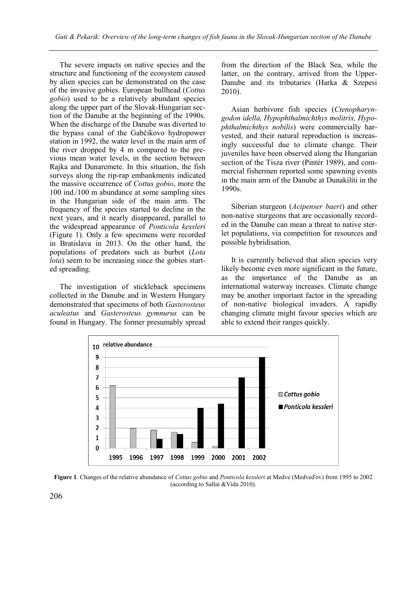The severe impacts on native species and the structure and functioning of the ecosystem caused by alien species can be demonstrated on the case of the invasive gobies. European bullhead (*Cottus gobio*) used to be a relatively abundant species along the upper part of the Slovak-Hungarian section of the Danube at the beginning of the 1990s. When the discharge of the Danube was diverted to the bypass canal of the Gabčikovo hydropower station in 1992, the water level in the main arm of the river dropped by 4 m compared to the previous mean water levels, in the section between Rajka and Dunaremete. In this situation, the fish surveys along the rip-rap embankments indicated the massive occurrence of *Cottus gobio*, more the 100 ind./100 m abundance at some sampling sites in the Hungarian side of the main arm. The frequency of the species started to decline in the next years, and it nearly disappeared, parallel to the widespread appearance of *Ponticola kessleri* (Figure 1). Only a few specimens were recorded in Bratislava in 2013. On the other hand, the populations of predators such as burbot (*Lota lota*) seem to be increasing since the gobies started spreading.

The investigation of stickleback specimens collected in the Danube and in Western Hungary demonstrated that specimens of both *Gasterosteus aculeatus* and *Gasterosteus gymnurus* can be found in Hungary. The former presumably spread from the direction of the Black Sea, while the latter, on the contrary, arrived from the Upper-Danube and its tributaries (Harka & Szepesi 2010).

Asian herbivore fish species (*Ctenopharyngodon idella, Hypophthalmichthys molitrix, Hypophthalmichthys nobilis*) were commercially harvested, and their natural reproduction is increasingly successful due to climate change. Their juveniles have been observed along the Hungarian section of the Tisza river (Pintér 1989), and commercial fishermen reported some spawning events in the main arm of the Danube at Dunakiliti in the 1990s.

Siberian sturgeon (*Acipenser baeri*) and other non-native sturgeons that are occasionally recorded in the Danube can mean a threat to native sterlet populations, via competition for resources and possible hybridisation.

It is currently believed that alien species very likely become even more significant in the future, as the importance of the Danube as an international waterway increases. Climate change may be another important factor in the spreading of non-native biological invaders. A rapidly changing climate might favour species which are able to extend their ranges quickly.



**Figure 1**. Changes of the relative abundance of *Cottus gobio* and *Ponticola kessleri* at Medve (Medveďov) from 1995 to 2002 (according to Sallai &Vida 2010).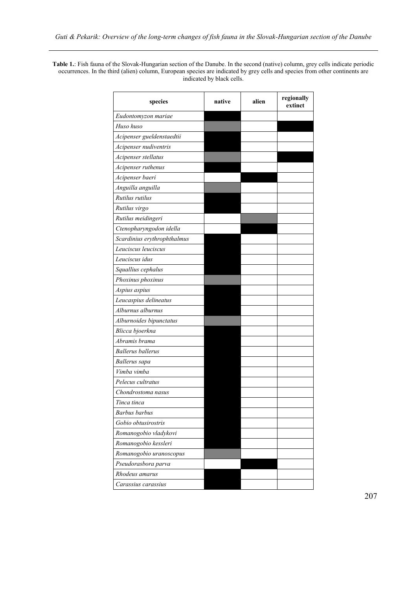**Table 1.**: Fish fauna of the Slovak-Hungarian section of the Danube. In the second (native) column, grey cells indicate periodic occurrences. In the third (alien) column, European species are indicated by grey cells and species from other continents are indicated by black cells.

| species                     | native | alien | regionally<br>extinct |
|-----------------------------|--------|-------|-----------------------|
| Eudontomyzon mariae         |        |       |                       |
| Huso huso                   |        |       |                       |
| Acipenser gueldenstaedtii   |        |       |                       |
| Acipenser nudiventris       |        |       |                       |
| Acipenser stellatus         |        |       |                       |
| Acipenser ruthenus          |        |       |                       |
| Acipenser baeri             |        |       |                       |
| Anguilla anguilla           |        |       |                       |
| Rutilus rutilus             |        |       |                       |
| Rutilus virgo               |        |       |                       |
| Rutilus meidingeri          |        |       |                       |
| Ctenopharyngodon idella     |        |       |                       |
| Scardinius erythrophthalmus |        |       |                       |
| Leuciscus leuciscus         |        |       |                       |
| Leuciscus idus              |        |       |                       |
| Squallius cephalus          |        |       |                       |
| Phoxinus phoxinus           |        |       |                       |
| Aspius aspius               |        |       |                       |
| Leucaspius delineatus       |        |       |                       |
| Alburnus alburnus           |        |       |                       |
| Alburnoides bipunctatus     |        |       |                       |
| Blicca bjoerkna             |        |       |                       |
| Abramis brama               |        |       |                       |
| <b>Ballerus</b> ballerus    |        |       |                       |
| Ballerus sapa               |        |       |                       |
| Vimba vimba                 |        |       |                       |
| Pelecus cultratus           |        |       |                       |
| Chondrostoma nasus          |        |       |                       |
| Tinca tinca                 |        |       |                       |
| <b>Barbus</b> barbus        |        |       |                       |
| Gobio obtusirostris         |        |       |                       |
| Romanogobio vladykovi       |        |       |                       |
| Romanogobio kessleri        |        |       |                       |
| Romanogobio uranoscopus     |        |       |                       |
| Pseudorasbora parva         |        |       |                       |
| Rhodeus amarus              |        |       |                       |
| Carassius carassius         |        |       |                       |

207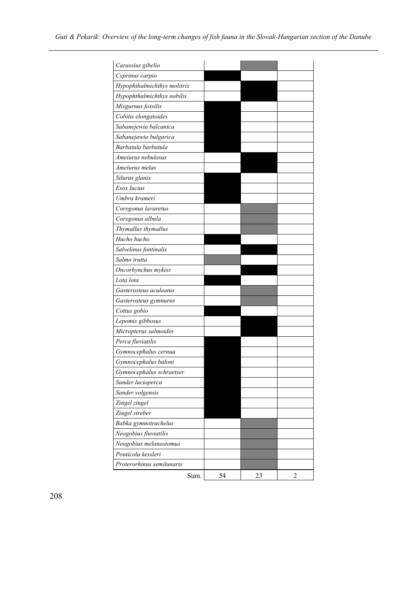| Carassius gibelio           |      |    |    |                |
|-----------------------------|------|----|----|----------------|
| Cyprinus carpio             |      |    |    |                |
| Hypophthalmichthys molitrix |      |    |    |                |
| Hypophthalmichthys nobilis  |      |    |    |                |
| Misgurnus fossilis          |      |    |    |                |
| Cobitis elongatoides        |      |    |    |                |
| Sabanejewia balcanica       |      |    |    |                |
| Sabanejawia bulgarica       |      |    |    |                |
| Barbatula barbatula         |      |    |    |                |
| Ameiurus nebulosus          |      |    |    |                |
| Ameiurus melas              |      |    |    |                |
| Silurus glanis              |      |    |    |                |
| Esox lucius                 |      |    |    |                |
| Umbra krameri               |      |    |    |                |
| Coregonus lavaretus         |      |    |    |                |
| Coregonus albula            |      |    |    |                |
| Thymallus thymallus         |      |    |    |                |
| Hucho hucho                 |      |    |    |                |
| Salvelinus fontinalis       |      |    |    |                |
| Salmo trutta                |      |    |    |                |
| Oncorhynchus mykiss         |      |    |    |                |
| Lota lota                   |      |    |    |                |
| Gasterosteus aculeatus      |      |    |    |                |
| Gasterosteus gymnurus       |      |    |    |                |
| Cottus gobio                |      |    |    |                |
| Lepomis gibbosus            |      |    |    |                |
| Micropterus salmoides       |      |    |    |                |
| Perca fluviatilis           |      |    |    |                |
| Gymnocephalus cernua        |      |    |    |                |
| Gymnocephalus baloni        |      |    |    |                |
| Gymnocephalus schraetser    |      |    |    |                |
| Sander lucioperca           |      |    |    |                |
| Sander volgensis            |      |    |    |                |
| Zingel zingel               |      |    |    |                |
| Zingel streber              |      |    |    |                |
| Babka gymnotrachelus        |      |    |    |                |
| Neogobius fluviatilis       |      |    |    |                |
| Neogobius melanostomus      |      |    |    |                |
| Ponticola kessleri          |      |    |    |                |
| Proterorhinus semilunaris   |      |    |    |                |
|                             | Sum. | 54 | 23 | $\overline{2}$ |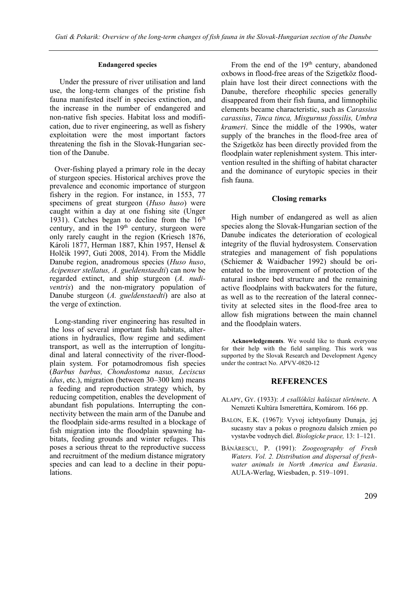#### **Endangered species**

Under the pressure of river utilisation and land use, the long-term changes of the pristine fish fauna manifested itself in species extinction, and the increase in the number of endangered and non-native fish species. Habitat loss and modification, due to river engineering, as well as fishery exploitation were the most important factors threatening the fish in the Slovak-Hungarian section of the Danube.

Over-fishing played a primary role in the decay of sturgeon species. Historical archives prove the prevalence and economic importance of sturgeon fishery in the region. For instance, in 1553, 77 specimens of great sturgeon (*Huso huso*) were caught within a day at one fishing site (Unger 1931). Catches began to decline from the  $16<sup>th</sup>$ century, and in the 19<sup>th</sup> century, sturgeon were only rarely caught in the region (Kriesch 1876, Károli 1877, Herman 1887, Khin 1957, Hensel & Holčik 1997, Guti 2008, 2014). From the Middle Danube region, anadromous species (*Huso huso*, *Acipenser stellatus, A. gueldenstaedti*) can now be regarded extinct, and ship sturgeon (*A. nudiventris*) and the non-migratory population of Danube sturgeon (*A. gueldenstaedti*) are also at the verge of extinction.

Long-standing river engineering has resulted in the loss of several important fish habitats, alterations in hydraulics, flow regime and sediment transport, as well as the interruption of longitudinal and lateral connectivity of the river-floodplain system. For potamodromous fish species (*Barbus barbus, Chondostoma nasus, Leciscus idus*, etc.), migration (between 30–300 km) means a feeding and reproduction strategy which, by reducing competition, enables the development of abundant fish populations. Interrupting the connectivity between the main arm of the Danube and the floodplain side-arms resulted in a blockage of fish migration into the floodplain spawning habitats, feeding grounds and winter refuges. This poses a serious threat to the reproductive success and recruitment of the medium distance migratory species and can lead to a decline in their populations.

From the end of the  $19<sup>th</sup>$  century, abandoned oxbows in flood-free areas of the Szigetköz floodplain have lost their direct connections with the Danube, therefore rheophilic species generally disappeared from their fish fauna, and limnophilic elements became characteristic, such as *Carassius carassius*, *Tinca tinca, Misgurnus fossilis, Umbra krameri*. Since the middle of the 1990s, water supply of the branches in the flood-free area of the Szigetköz has been directly provided from the floodplain water replenishment system. This intervention resulted in the shifting of habitat character and the dominance of eurytopic species in their fish fauna.

### **Closing remarks**

High number of endangered as well as alien species along the Slovak-Hungarian section of the Danube indicates the deterioration of ecological integrity of the fluvial hydrosystem. Conservation strategies and management of fish populations (Schiemer & Waidbacher 1992) should be orientated to the improvement of protection of the natural inshore bed structure and the remaining active floodplains with backwaters for the future, as well as to the recreation of the lateral connectivity at selected sites in the flood-free area to allow fish migrations between the main channel and the floodplain waters.

**Acknowledgements**. We would like to thank everyone for their help with the field sampling. This work was supported by the Slovak Research and Development Agency under the contract No. APVV-0820-12

#### **REFERENCES**

- ALAPY, GY. (1933): *A csallóközi halászat története*. A Nemzeti Kultúra Ismerettára, Komárom. 166 pp.
- BALON, E.K. (1967): Vyvoj ichtyofauny Dunaja, jej sucasny stav a pokus o prognozu dalsích zmien po vystavbe vodnych diel. *Biologicke prace,* 13: 1–121.
- BĂNĂRESCU, P. (1991): *Zoogeography of Fresh Waters. Vol. 2. Distribution and dispersal of freshwater animals in North America and Eurasia*. AULA-Werlag, Wiesbaden, p. 519–1091.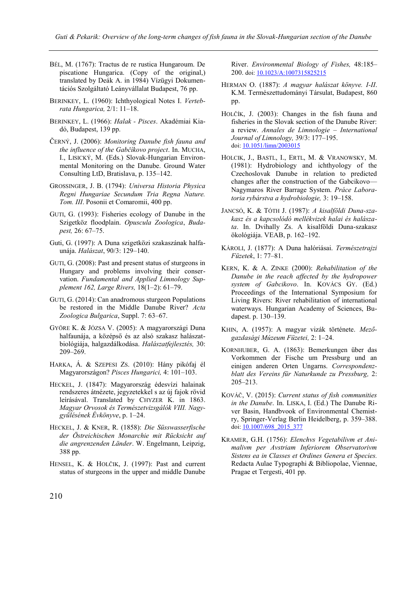- BÉL, M. (1767): Tractus de re rustica Hungaroum. De piscatione Hungarica. (Copy of the original,) translated by Deák A. in 1984) Vízügyi Dokumentációs Szolgáltató Leányvállalat Budapest, 76 pp.
- BERINKEY, L. (1960): Ichthyological Notes I. *Vertebrata Hungarica,* 2/1: 11–18.
- BERINKEY, L. (1966): *Halak - Pisces*. Akadémiai Kiadó, Budapest, 139 pp.
- ČERNÝ, J. (2006): *Monitoring Danube fish fauna and the influence of the Gabčíkovo project*. In. MUCHA, I., LISICKÝ, M. (Eds.) Slovak-Hungarian Environmental Monitoring on the Danube. Ground Water Consulting LtD, Bratislava, p. 135–142.
- GROSSINGER, J. B. (1794): *Universa Historia Physica Regni Hungariae Secundum Tria Regna Nature. Tom. III*. Posonii et Comaromii, 400 pp.
- GUTI, G. (1993): Fisheries ecology of Danube in the Szigetköz floodplain. *Opuscula Zoologica*, *Budapest,* 26: 67–75.
- Guti, G. (1997): A Duna szigetközi szakaszának halfaunája. *Halászat*, 90/3: 129–140.
- GUTI, G. (2008): Past and present status of sturgeons in Hungary and problems involving their conservation. *Fundamental and Applied Limnology Supplement 162, Large Rivers,* 18(1–2): 61–79.
- GUTI, G. (2014): Can anadromous sturgeon Populations be restored in the Middle Danube River? *Acta Zoologica Bulgarica*, Suppl. 7: 63–67.
- GYÖRE K. & JÓZSA V. (2005): A magyarországi Duna halfaunája, a középső és az alsó szakasz halászatbiológiája, halgazdálkodása. *Halászatfejlesztés,* 30: 209–269.
- HARKA, Á. & SZEPESI ZS. (2010): Hány pikófaj él Magyarországon? *Pisces Hungarici,* 4: 101–103.
- HECKEL, J. (1847): Magyarország édesvízi halainak rendszeres átnézete, jegyzetekkel s az új fajok rövid leírásával. Translated by CHYZER K. in 1863. *Magyar Orvosok és Természetvizsgálók VIII. Nagygyűlésének Évkönyve*, p. 1–24.
- HECKEL, J. & KNER, R. (1858): *Die Süsswasserfische der Östreichischen Monarchie mit Rücksicht auf die angrenzenden Länder*. W. Engelmann, Leipzig, 388 pp.
- HENSEL, K. & HOLČIK, J. (1997): Past and current status of sturgeons in the upper and middle Danube

River. *Environmental Biology of Fishes,* 48:185– 200. doi[: 10.1023/A:1007315825215](http://dx.doi.org/10.1023/A:1007315825215)

- HERMAN O. (1887): *A magyar halászat könyve. I-II*. K.M. Természettudományi Társulat, Budapest, 860 pp.
- HOLČÍK, J. (2003): Changes in the fish fauna and fisheries in the Slovak section of the Danube River: a review. *Annales de Limnologie – International Journal of Limnology,* 39/3: 177–195. doi[: 10.1051/limn/2003015](https://doi.org/10.1051/limn/2003015)
- HOLCIK, J., BASTL, I., ERTL, M. & VRANOWSKY, M. (1981): Hydrobiology and ichthyology of the Czechoslovak Danube in relation to predicted changes after the construction of the Gabcikovo— Nagymaros River Barrage System. *Práce Laboratoria rybárstva a hydrobiologie,* 3: 19–158.
- JANCSÓ, K. & TÓTH J. (1987): *A kisalföldi Duna-szakasz és a kapcsolódó mellékvizek halai és halászata*. In. Dvihally Zs. A kisalföldi Duna-szakasz ökológiája. VEAB, p. 162–192.
- KÁROLI, J. (1877): A Duna halóriásai. *Természetrajzi Füzetek*, 1: 77–81.
- KERN, K. & A. ZINKE (2000): *Rehabilitation of the Danube in the reach affected by the hydropower system of Gabcikovo*. In. KOVÁCS GY. (Ed.) Proceedings of the International Symposium for Living Rivers: River rehabilitation of international waterways. Hungarian Academy of Sciences, Budapest. p. 130–139.
- KHIN, A. (1957): A magyar vizák története. *Mezőgazdasági Múzeum Füzetei,* 2: 1–24.
- KORNHUBER, G. A. (1863): Bemerkungen über das Vorkommen der Fische um Pressburg und an einigen anderen Orten Ungarns. *Correspondenzblatt des Vereins für Naturkunde zu Pressburg,* 2: 205–213.
- KOVÁČ, V. (2015): *Current status of fish communities in the Danube*. In. LISKA, I. (Ed.) The Danube River Basin, Handbvook of Environmental Chemistry, Springer-Verlag Berlin Heidelberg, p. 359–388. doi: [10.1007/698\\_2015\\_377](http://dx.doi.org/10.1007/698_2015_377)
- KRAMER, G.H. (1756): *Elenchvs Vegetabilivm et Animalivm per Avstriam Inferiorem Observatorivm Sistens ea in Classes et Ordines Genera et Species.* Redacta Aulae Typographi & Bibliopolae, Viennae, Pragae et Tergesti, 401 pp.